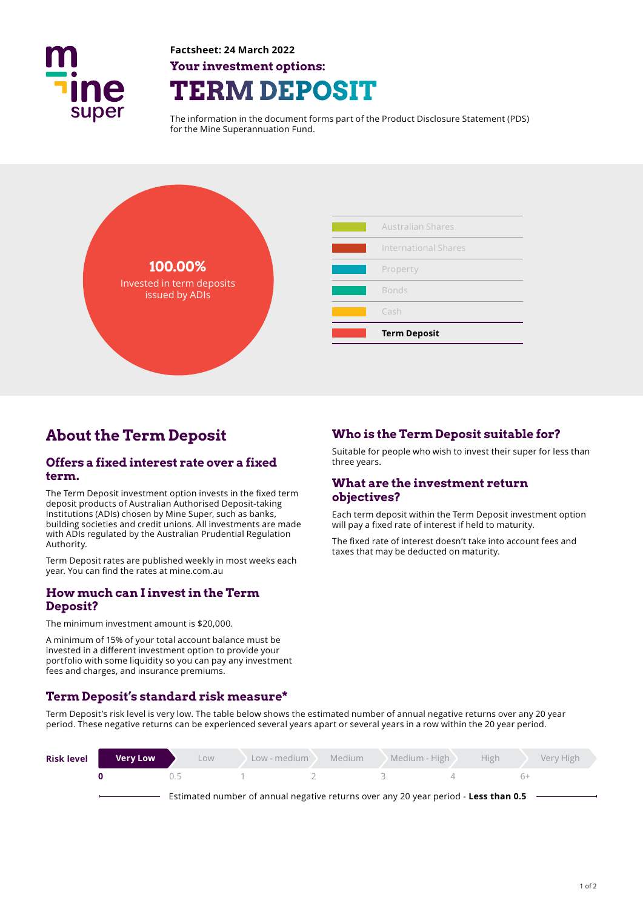

**Factsheet: 24 March 2022 Your investment options: TERM DEPOSIT** 

The information in the document forms part of the Product Disclosure Statement (PDS) for the Mine Superannuation Fund.





# **About the Term Deposit**

### **Offers a fixed interest rate over a fixed term.**

The Term Deposit investment option invests in the fixed term deposit products of Australian Authorised Deposit-taking Institutions (ADIs) chosen by Mine Super, such as banks, building societies and credit unions. All investments are made with ADIs regulated by the Australian Prudential Regulation Authority.

Term Deposit rates are published weekly in most weeks each year. You can find the rates at mine.com.au

## **How much can I invest in the Term Deposit?**

The minimum investment amount is \$20,000.

A minimum of 15% of your total account balance must be invested in a diferent investment option to provide your portfolio with some liquidity so you can pay any investment fees and charges, and insurance premiums.

## **Term Deposit's standard risk measure\***

Term Deposit's risk level is very low. The table below shows the estimated number of annual negative returns over any 20 year period. These negative returns can be experienced several years apart or several years in a row within the 20 year period.

| <b>Risk level</b> | <b>Very Low</b> | LOW <sub></sub>                                                                     | Low - medium | Medium | Medium - High | High | Very High |
|-------------------|-----------------|-------------------------------------------------------------------------------------|--------------|--------|---------------|------|-----------|
|                   |                 | ()                                                                                  |              |        |               |      |           |
|                   |                 | Estimated number of annual negative returns over any 20 year period - Less than 0.5 |              |        |               |      |           |

## **Who is the Term Deposit suitable for?**

Suitable for people who wish to invest their super for less than three years.

## **What are the investment return objectives?**

Each term deposit within the Term Deposit investment option will pay a fixed rate of interest if held to maturity.

The fixed rate of interest doesn't take into account fees and taxes that may be deducted on maturity.